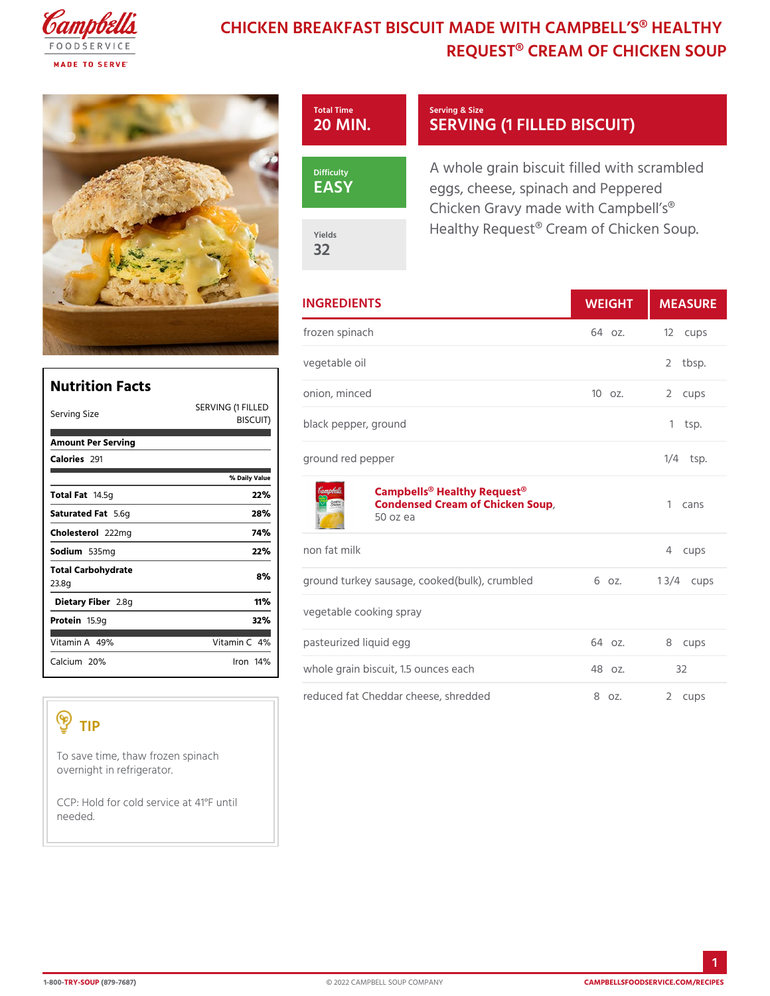## CHICKEN BREAKFAST BISCUIT MADE WITH C REQUEST® CREAM OF CHI

| Total Time<br>$20$ MIN.   | Serving & Size<br>SERVING (1 FILLED BIS)                                                             |
|---------------------------|------------------------------------------------------------------------------------------------------|
| Difficulty<br>$E$ A S $Y$ | A whole grain biscuit filled with<br>eggs, cheese, spinach and Pepp<br>Chicken Gravy made with Campl |
| Yields<br>32              | Healthy Request® Cream of Chi                                                                        |

|                                                                 |                       | <b>INGREDIENTS</b>                                                                     | WEIGH  |    | MEASU      |
|-----------------------------------------------------------------|-----------------------|----------------------------------------------------------------------------------------|--------|----|------------|
|                                                                 |                       | frozen spinach                                                                         | 64 oz. |    | 12 cups    |
|                                                                 |                       | vegetable oil                                                                          |        |    | 2 tbsp.    |
| <b>Nutrition Facts</b>                                          |                       | onion, minced                                                                          | 10 oz. |    | 2 cups     |
| Serving Size                                                    | SERVING (1 FILLED     | BISCUIT) black pepper, ground                                                          |        |    | $1$ tsp.   |
| Amount Per Serving<br>Calorie®91                                |                       | ground red pepper                                                                      |        |    | $1/4$ tsp. |
| Total F <sub>a4.5g</sub>                                        | % Daily Value<br>22%  | Campbells <sup>®</sup> Healthy Request <sup>®</sup><br>Condensed Cream of Chicken Soup |        |    | 1 cans     |
| Saturated 5F. 6tg                                               | 28%                   | 50 oz ea                                                                               |        |    |            |
| Choleste <sub>20212</sub> mg                                    | 74%                   |                                                                                        |        |    |            |
| Sodium 535mg                                                    | 22%                   | non fat milk                                                                           |        |    | 4 cups     |
| Total Carbohydrate<br>23.8g                                     | 8%                    | ground turkey sausage, cooked (bulk)6, orumbie 8/4 cups                                |        |    |            |
| Dietary F2ib⪚                                                   | 11%                   |                                                                                        |        |    |            |
| Proteif5.9q                                                     | 32%                   | vegetable cooking spray                                                                |        |    |            |
| Vitamin4 $\overline{A}$ %                                       | Vitamin4 <sup>%</sup> | pasteurized liquid egg                                                                 | 64 oz. |    | 8 cups     |
| Calciu2n0%                                                      | $l$ ron 14 $\%$       | whole grain biscuit, 1.5 ounces eac $48$ oz.                                           |        | 32 |            |
|                                                                 |                       | reduced fat Cheddar cheese, shredd@doz.                                                |        |    | 2 cups     |
| TIP                                                             |                       |                                                                                        |        |    |            |
| To save time, thaw frozen spinach<br>overnight in refrigerator. |                       |                                                                                        |        |    |            |

CCP: Hold for cold service at 41°F until needed.